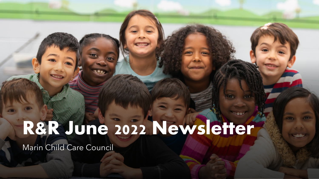# R&R June 2022 Newsletter

Marin Child Care Council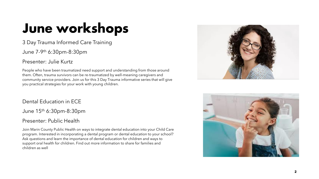# June workshops

3 Day Trauma Informed Care Training

June 7-9 th 6:30pm-8:30pm

Presenter: Julie Kurtz

People who have been traumatized need support and understanding from those around them. Often, trauma survivors can be re-traumatized by well-meaning caregivers and community service providers. Join us for this 3 Day Trauma informative series that will give you practical strategies for your work with young children.

Dental Education in ECE

June 15th 6:30pm-8:30pm

### Presenter: Public Health

Join Marin County Public Health on ways to integrate dental education into your Child Care program. Interested in incorporating a dental program or dental education to your school? Ask questions and learn the importance of dental education for children and ways to support oral health for children. Find out more information to share for families and children as well



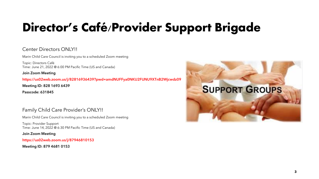## Director's Café/Provider Support Brigade

### Center Directors ONIYII

Marin Child Care Council is inviting you to a scheduled Zoom meeting

Topic: Directors Café Time: June 21, 2022 @ 6:00 PM Pacific Time (US and Canada)

#### Join Zoom Meeting

**https://us02web.zoom.us/j/82816936439?pwd=amdNUFFya0NKU2FUNU9XTnB2Wjcwdz09**

Meeting ID: 828 1693 6439

Passcode: 631845

### Family Child Care Provider's ONLY!!

Marin Child Care Council is inviting you to a scheduled Zoom meeting

Topic: Provider Support Time: June 14, 2022 @ 6:30 PM Pacific Time (US and Canada)

#### Join Zoom Meeting

https://us02web.zoom.us/j/87946810153

Meeting ID: 879 4681 0153

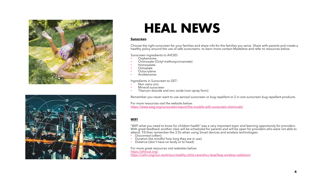

### HEAL NEWS

#### **Sunscreen**

Choose the right sunscreen for your families and share info for the families you serve. Share with parents and create a healthy policy around the use of safe sunscreens- to learn more contact Madelene and refer to resources below.

Sunscreen ingredients to AVOID:

- Oxybenzone
- Octinoxate (Octyl methoxycinnamate)
- Homosalate
- Octisalate
- **Octocrylene**
- Avobenzone

Ingredients in Sunscreen to GET:

- Non nano zinc
- Mineral sunscreen
- Titanium dioxide and zinc oxide (non-spray form)

Remember you never want to use aerosol sunscreen or bug repellent or 2 in one sunscreen bug repellent products.

For more resources visit the website below: <https://www.ewg.org/sunscreen/report/the-trouble-with-sunscreen-chemicals/>

#### **WIFI**

"WIFI what you need to know for children health" was a very important topic and learning opportunity for providers. With great feedback another class will be scheduled for parents and will be open for providers who were not able to attend. Till then remember the 3 Ds when using Smart devices and wireless technologies

- Disconnect (often)
- Duration (be mindful how long they are in use)
- Distance (don't have on body or to head)

For more great resources visit websites below: <https://ehtrust.org/> <https://cehn.org/our-work/eco-healthy-child-care/ehcc-faqs/faqs-wireless-radiation/>

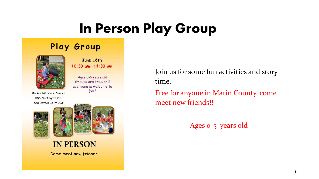# In Person Play Group

### Play Group



June 16th  $10:30$  am $-11:30$  am

Ages 0-5 years old Groups are free and everyone is welcome to join!

Marin Child Care Council 555 Northgate Dr. San Rafael Ca 94903





**IN PERSON** Come meet new friends! Join us for some fun activities and story time.

Free for anyone in Marin County, come meet new friends!!

Ages 0-5 years old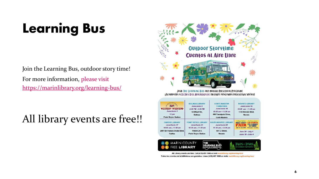# Learning Bus

Join the Learning Bus, outdoor story time! For more information, please visit <https://marinlibrary.org/learning-bus/>

### All library events are free!!



Join The Learning Bus our mobile Preschool Program! iAcompaña a El Bus Del Aprendizaje nuestro programa preescolar móvill



All Library events are free. Call (415) 497-1666 or visit marinlibrary.org/learning-bus/ Todos los eventos de la biblioteca son gratuitos. Llame (415) 497-1666 or visite marinlibrary.org/learning-bus/